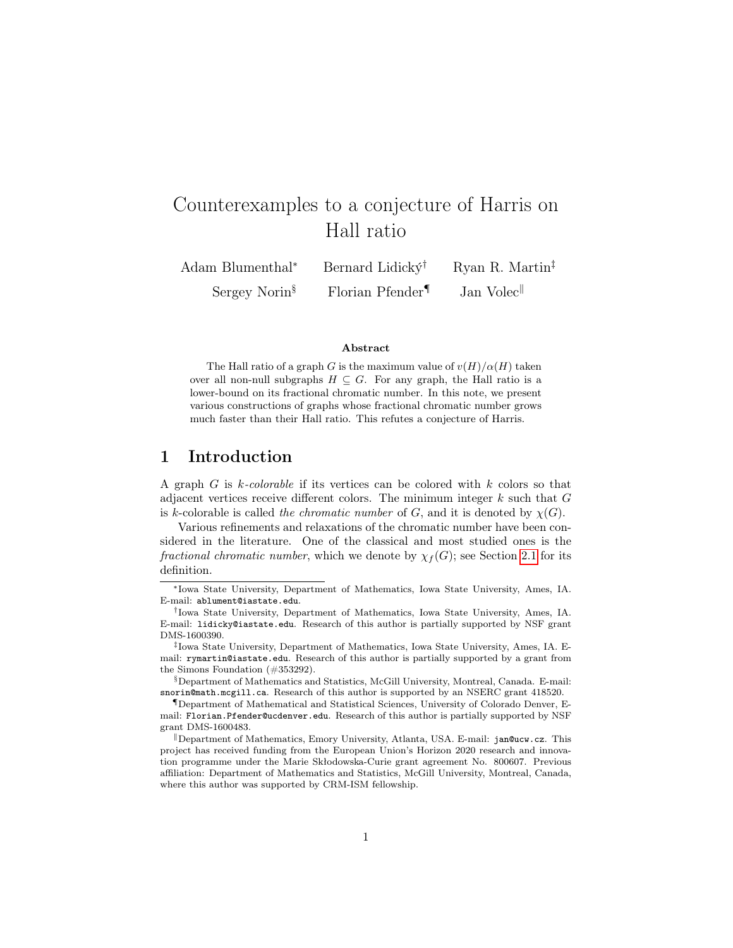# Counterexamples to a conjecture of Harris on Hall ratio

| Adam Blumenthal*           | Bernard Lidick $\acute{\mathbf{y}}^{\dagger}$ | Ryan R. Martin <sup>‡</sup>        |
|----------------------------|-----------------------------------------------|------------------------------------|
| Sergey Norin $\frac{8}{3}$ | Florian Pfender <sup>¶</sup>                  | Jan Volec <sup><sup>  </sup></sup> |

#### Abstract

The Hall ratio of a graph G is the maximum value of  $v(H)/\alpha(H)$  taken over all non-null subgraphs  $H \subseteq G$ . For any graph, the Hall ratio is a lower-bound on its fractional chromatic number. In this note, we present various constructions of graphs whose fractional chromatic number grows much faster than their Hall ratio. This refutes a conjecture of Harris.

### 1 Introduction

A graph G is k-colorable if its vertices can be colored with k colors so that adjacent vertices receive different colors. The minimum integer  $k$  such that  $G$ is k-colorable is called the chromatic number of G, and it is denoted by  $\chi(G)$ .

Various refinements and relaxations of the chromatic number have been considered in the literature. One of the classical and most studied ones is the fractional chromatic number, which we denote by  $\chi_f(G)$ ; see Section [2.1](#page-2-0) for its definition.

§Department of Mathematics and Statistics, McGill University, Montreal, Canada. E-mail: snorin@math.mcgill.ca. Research of this author is supported by an NSERC grant 418520.

<sup>∗</sup>Iowa State University, Department of Mathematics, Iowa State University, Ames, IA. E-mail: ablument@iastate.edu.

<sup>†</sup> Iowa State University, Department of Mathematics, Iowa State University, Ames, IA. E-mail: lidicky@iastate.edu. Research of this author is partially supported by NSF grant DMS-1600390.

<sup>‡</sup> Iowa State University, Department of Mathematics, Iowa State University, Ames, IA. Email: rymartin@iastate.edu. Research of this author is partially supported by a grant from the Simons Foundation (#353292).

<sup>¶</sup>Department of Mathematical and Statistical Sciences, University of Colorado Denver, Email: Florian.Pfender@ucdenver.edu. Research of this author is partially supported by NSF grant DMS-1600483.

Department of Mathematics, Emory University, Atlanta, USA. E-mail: jan@ucw.cz. This project has received funding from the European Union's Horizon 2020 research and innovation programme under the Marie Skłodowska-Curie grant agreement No. 800607. Previous affiliation: Department of Mathematics and Statistics, McGill University, Montreal, Canada, where this author was supported by CRM-ISM fellowship.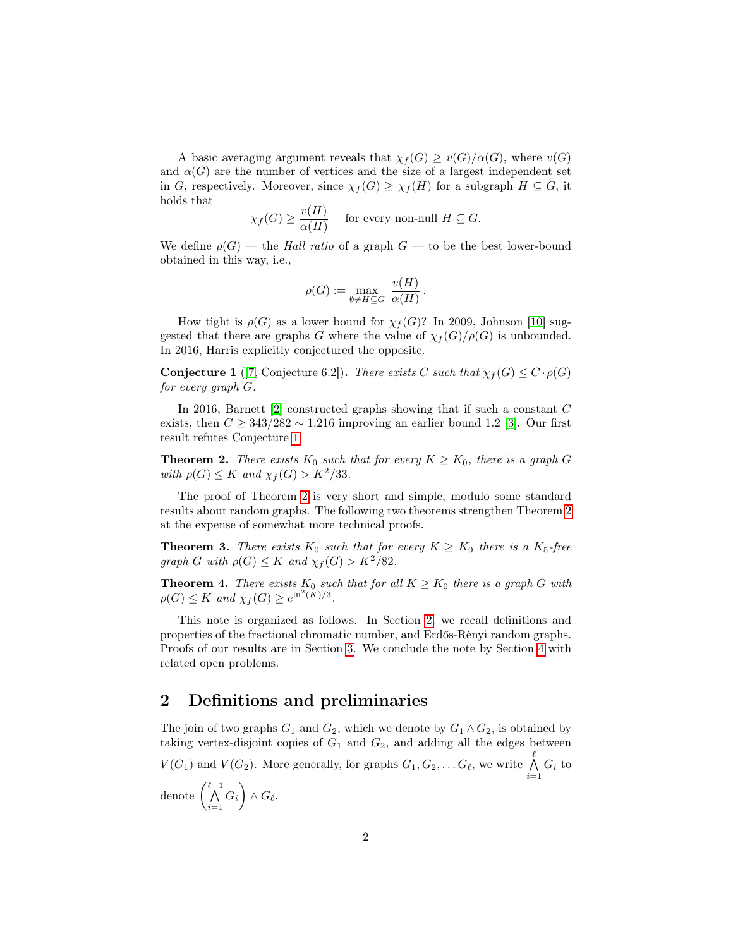A basic averaging argument reveals that  $\chi_f(G) \geq v(G)/\alpha(G)$ , where  $v(G)$ and  $\alpha(G)$  are the number of vertices and the size of a largest independent set in G, respectively. Moreover, since  $\chi_f(G) \geq \chi_f(H)$  for a subgraph  $H \subseteq G$ , it holds that

$$
\chi_f(G) \ge \frac{v(H)}{\alpha(H)} \quad \text{ for every non-null } H \subseteq G.
$$

We define  $\rho(G)$  — the Hall ratio of a graph  $G$  — to be the best lower-bound obtained in this way, i.e.,

$$
\rho(G) := \max_{\emptyset \neq H \subseteq G} \frac{v(H)}{\alpha(H)}.
$$

How tight is  $\rho(G)$  as a lower bound for  $\chi_f(G)$ ? In 2009, Johnson [\[10\]](#page-9-0) suggested that there are graphs G where the value of  $\chi_f(G)/\rho(G)$  is unbounded. In 2016, Harris explicitly conjectured the opposite.

<span id="page-1-0"></span>**Conjecture 1** ([\[7,](#page-9-1) Conjecture 6.2]). There exists C such that  $\chi_f(G) \leq C \cdot \rho(G)$ for every graph G.

In 2016, Barnett [\[2\]](#page-9-2) constructed graphs showing that if such a constant C exists, then  $C \geq 343/282 \sim 1.216$  improving an earlier bound 1.2 [\[3\]](#page-9-3). Our first result refutes Conjecture [1.](#page-1-0)

<span id="page-1-1"></span>**Theorem 2.** There exists  $K_0$  such that for every  $K \geq K_0$ , there is a graph G with  $\rho(G) \leq K$  and  $\chi_f(G) > K^2/33$ .

The proof of Theorem [2](#page-1-1) is very short and simple, modulo some standard results about random graphs. The following two theorems strengthen Theorem [2](#page-1-1) at the expense of somewhat more technical proofs.

<span id="page-1-3"></span>**Theorem 3.** There exists  $K_0$  such that for every  $K \geq K_0$  there is a  $K_5$ -free graph G with  $\rho(G) \leq K$  and  $\chi_f(G) > K^2/82$ .

<span id="page-1-4"></span>**Theorem 4.** There exists  $K_0$  such that for all  $K \geq K_0$  there is a graph G with  $\rho(G) \leq K$  and  $\chi_f(G) \geq e^{\ln^2(\tilde{K})/3}$ .

This note is organized as follows. In Section [2,](#page-1-2) we recall definitions and properties of the fractional chromatic number, and Erdős-Rényi random graphs. Proofs of our results are in Section [3.](#page-4-0) We conclude the note by Section [4](#page-8-0) with related open problems.

## <span id="page-1-2"></span>2 Definitions and preliminaries

The join of two graphs  $G_1$  and  $G_2$ , which we denote by  $G_1 \wedge G_2$ , is obtained by taking vertex-disjoint copies of  $G_1$  and  $G_2$ , and adding all the edges between  $V(G_1)$  and  $V(G_2)$ . More generally, for graphs  $G_1, G_2, \ldots G_{\ell}$ , we write  $\bigwedge^{\ell}$  $\bigwedge_{i=1} G_i$  to denote  $\begin{pmatrix} \ell-1 \\ \Lambda \end{pmatrix}$  $\bigwedge_{i=1}^{\ell-1} G_i\bigg)\wedge G_\ell.$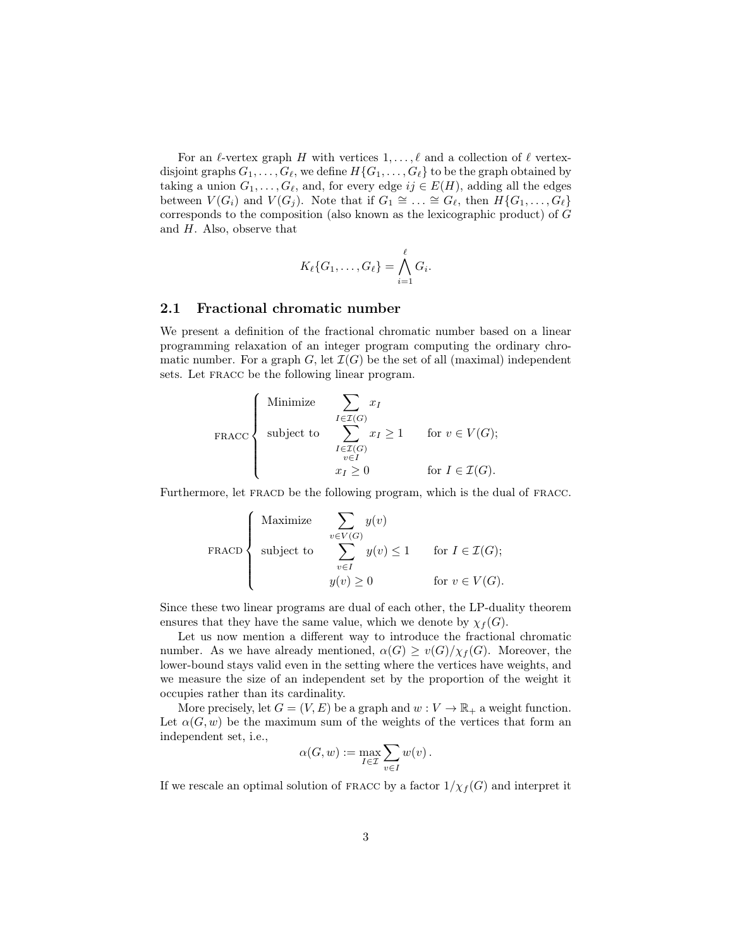For an  $\ell$ -vertex graph H with vertices  $1, \ldots, \ell$  and a collection of  $\ell$  vertexdisjoint graphs  $G_1, \ldots, G_\ell$ , we define  $H\{G_1, \ldots, G_\ell\}$  to be the graph obtained by taking a union  $G_1, \ldots, G_\ell$ , and, for every edge  $ij \in E(H)$ , adding all the edges between  $V(G_i)$  and  $V(G_j)$ . Note that if  $G_1 \cong \ldots \cong G_{\ell}$ , then  $H\{G_1, \ldots, G_{\ell}\}\$ corresponds to the composition (also known as the lexicographic product) of G and  $H$ . Also, observe that

$$
K_{\ell}\{G_1,\ldots,G_{\ell}\}=\bigwedge_{i=1}^{\ell}G_i.
$$

#### <span id="page-2-0"></span>2.1 Fractional chromatic number

We present a definition of the fractional chromatic number based on a linear programming relaxation of an integer program computing the ordinary chromatic number. For a graph G, let  $\mathcal{I}(G)$  be the set of all (maximal) independent sets. Let FRACC be the following linear program.

FIGURE

\n
$$
\text{FRACC}
$$
\n
$$
\left\{\n\begin{array}{ll}\n\text{Minimize} & \sum_{I \in \mathcal{I}(G)} x_I \\
\text{subject to} & \sum_{\substack{I \in \mathcal{I}(G) \\ v \in I}} x_I \ge 1 \\
\text{for } v \in V(G);\n\end{array}\n\right.
$$
\n
$$
\text{for } I \in \mathcal{I}(G).
$$

Furthermore, let FRACD be the following program, which is the dual of FRACC.

FRACD

\n
$$
\left\{\n\begin{array}{ll}\n\text{Maximize} & \sum_{v \in V(G)} y(v) \\
\text{subject to} & \sum_{v \in I} y(v) \le 1 \\
& \text{for } I \in \mathcal{I}(G); \\
& y(v) \ge 0\n\end{array}\n\right.
$$
\n
$$
\left\{\n\begin{array}{ll}\n\text{maximize} & \sum_{v \in V(G)} y(v) \\
\text{for } v \in V(G).\n\end{array}\n\right.
$$

Since these two linear programs are dual of each other, the LP-duality theorem ensures that they have the same value, which we denote by  $\chi_f(G)$ .

Let us now mention a different way to introduce the fractional chromatic number. As we have already mentioned,  $\alpha(G) \geq v(G)/\chi_f(G)$ . Moreover, the lower-bound stays valid even in the setting where the vertices have weights, and we measure the size of an independent set by the proportion of the weight it occupies rather than its cardinality.

More precisely, let  $G = (V, E)$  be a graph and  $w : V \to \mathbb{R}_+$  a weight function. Let  $\alpha(G, w)$  be the maximum sum of the weights of the vertices that form an independent set, i.e.,

$$
\alpha(G, w) := \max_{I \in \mathcal{I}} \sum_{v \in I} w(v).
$$

If we rescale an optimal solution of FRACC by a factor  $1/\chi_f(G)$  and interpret it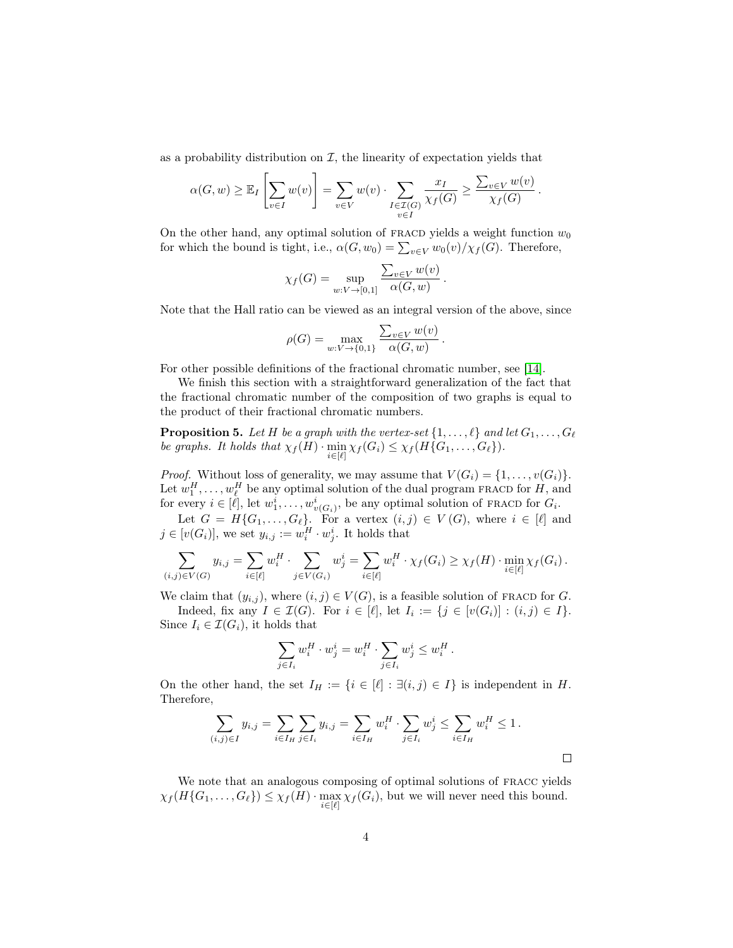as a probability distribution on  $I$ , the linearity of expectation yields that

$$
\alpha(G, w) \geq \mathbb{E}_{I} \left[ \sum_{v \in I} w(v) \right] = \sum_{v \in V} w(v) \cdot \sum_{\substack{I \in \mathcal{I}(G) \\ v \in I}} \frac{x_{I}}{\chi_{f}(G)} \geq \frac{\sum_{v \in V} w(v)}{\chi_{f}(G)}.
$$

On the other hand, any optimal solution of FRACD yields a weight function  $w_0$ for which the bound is tight, i.e.,  $\alpha(G, w_0) = \sum_{v \in V} w_0(v) / \chi_f(G)$ . Therefore,

$$
\chi_f(G) = \sup_{w:V \to [0,1]} \frac{\sum_{v \in V} w(v)}{\alpha(G, w)}
$$

.

.

Note that the Hall ratio can be viewed as an integral version of the above, since

$$
\rho(G) = \max_{w: V \to \{0,1\}} \frac{\sum_{v \in V} w(v)}{\alpha(G, w)}
$$

For other possible definitions of the fractional chromatic number, see [\[14\]](#page-10-0).

We finish this section with a straightforward generalization of the fact that the fractional chromatic number of the composition of two graphs is equal to the product of their fractional chromatic numbers.

<span id="page-3-0"></span>**Proposition 5.** Let H be a graph with the vertex-set  $\{1, \ldots, \ell\}$  and let  $G_1, \ldots, G_\ell$ be graphs. It holds that  $\chi_f(H) \cdot \min_{i \in [\ell]} \chi_f(G_i) \leq \chi_f(H\{G_1, \ldots, G_\ell\}).$ 

*Proof.* Without loss of generality, we may assume that  $V(G_i) = \{1, \ldots, v(G_i)\}.$ Let  $w_1^H, \ldots, w_\ell^H$  be any optimal solution of the dual program FRACD for  $H$ , and Let  $w_1, \ldots, w_\ell$  be any optimal solution of the dual program **FRACD** for  $H$ , and for every  $i \in [\ell]$ , let  $w_1^i, \ldots, w_{v(G_i)}^i$ , be any optimal solution of **FRACD** for  $G_i$ .

Let  $G = H\{G_1, \ldots, G_{\ell}\}.$  For a vertex  $(i, j) \in V(G)$ , where  $i \in [\ell]$  and  $j \in [v(G_i)],$  we set  $y_{i,j} := w_i^H \cdot w_j^i$ . It holds that

$$
\sum_{(i,j)\in V(G)} y_{i,j} = \sum_{i\in[\ell]} w_i^H \cdot \sum_{j\in V(G_i)} w_j^i = \sum_{i\in[\ell]} w_i^H \cdot \chi_f(G_i) \ge \chi_f(H) \cdot \min_{i\in[\ell]} \chi_f(G_i).
$$

We claim that  $(y_{i,j})$ , where  $(i, j) \in V(G)$ , is a feasible solution of FRACD for G. Indeed, fix any  $I \in \mathcal{I}(G)$ . For  $i \in [\ell],$  let  $I_i := \{j \in [v(G_i)] : (i,j) \in I\}.$ Since  $I_i \in \mathcal{I}(G_i)$ , it holds that

$$
\sum_{j \in I_i} w_i^H \cdot w_j^i = w_i^H \cdot \sum_{j \in I_i} w_j^i \le w_i^H.
$$

On the other hand, the set  $I_H := \{i \in [\ell] : \exists (i,j) \in I\}$  is independent in H. Therefore,

$$
\sum_{(i,j)\in I} y_{i,j} = \sum_{i\in I_H} \sum_{j\in I_i} y_{i,j} = \sum_{i\in I_H} w_i^H \cdot \sum_{j\in I_i} w_j^i \le \sum_{i\in I_H} w_i^H \le 1.
$$

We note that an analogous composing of optimal solutions of fracc yields  $\chi_f(H\{G_1,\ldots,G_\ell\}) \leq \chi_f(H) \cdot \max_{i \in [\ell]} \chi_f(G_i)$ , but we will never need this bound.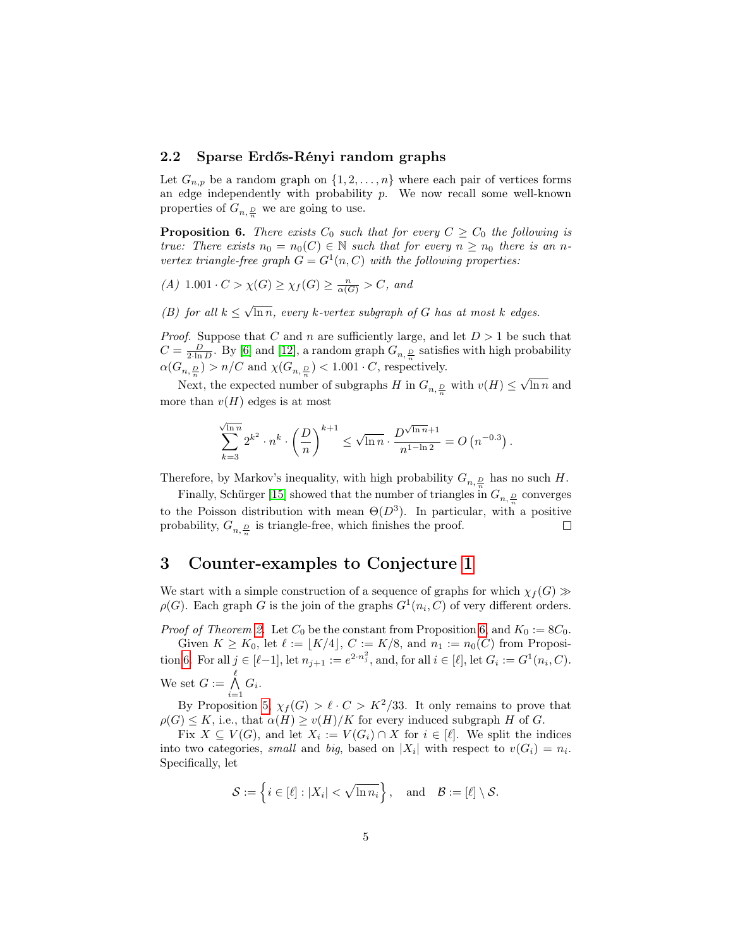#### 2.2 Sparse Erdős-Rényi random graphs

Let  $G_{n,p}$  be a random graph on  $\{1, 2, \ldots, n\}$  where each pair of vertices forms an edge independently with probability  $p$ . We now recall some well-known properties of  $G_{n, \frac{D}{n}}$  we are going to use.

<span id="page-4-1"></span>**Proposition 6.** There exists  $C_0$  such that for every  $C \geq C_0$  the following is true: There exists  $n_0 = n_0(C) \in \mathbb{N}$  such that for every  $n \geq n_0$  there is an nvertex triangle-free graph  $G = G^1(n, C)$  with the following properties:

- $(A)$  1.001  $\cdot$   $C > \chi(G) \ge \chi_f(G) \ge \frac{n}{\alpha(G)} > C$ , and
- <span id="page-4-2"></span>(B) for all  $k \leq$ √  $\ln n$ , every k-vertex subgraph of G has at most k edges.

*Proof.* Suppose that C and n are sufficiently large, and let  $D > 1$  be such that  $C = \frac{D}{2 \cdot \ln D}$ . By [\[6\]](#page-9-4) and [\[12\]](#page-9-5), a random graph  $G_{n, \frac{D}{n}}$  satisfies with high probability  $\alpha(G_{n, \frac{D}{n}}) > n/C$  and  $\chi(G_{n, \frac{D}{n}}) < 1.001 \cdot C$ , respectively. √

Next, the expected number of subgraphs  $H$  in  $G_{n,\frac{D}{n}}$  with  $v(H)\leq$  $\ln n$  and more than  $v(H)$  edges is at most

$$
\sum_{k=3}^{\sqrt{\ln n}} 2^{k^2} \cdot n^k \cdot \left(\frac{D}{n}\right)^{k+1} \le \sqrt{\ln n} \cdot \frac{D^{\sqrt{\ln n}+1}}{n^{1-\ln 2}} = O\left(n^{-0.3}\right).
$$

Therefore, by Markov's inequality, with high probability  $G_{n, \frac{D}{n}}$  has no such  $H$ .

Finally, Schürger [\[15\]](#page-10-1) showed that the number of triangles in  $G_{n, \frac{D}{n}}$  converges to the Poisson distribution with mean  $\Theta(D^3)$ . In particular, with a positive probability,  $G_{n, \frac{D}{n}}$  is triangle-free, which finishes the proof.  $\Box$ 

#### <span id="page-4-0"></span>3 Counter-examples to Conjecture [1](#page-1-0)

We start with a simple construction of a sequence of graphs for which  $\chi_f(G)$  $\rho(G)$ . Each graph G is the join of the graphs  $G^1(n_i, C)$  of very different orders.

*Proof of Theorem [2.](#page-1-1)* Let  $C_0$  be the constant from Proposition [6,](#page-4-1) and  $K_0 := 8C_0$ .

Given  $K \geq K_0$ , let  $\ell := \lfloor K/4 \rfloor$ ,  $C := K/8$ , and  $n_1 := n_0(C)$  from Proposi-tion [6.](#page-4-1) For all  $j \in [\ell-1]$ , let  $n_{j+1} := e^{2 \cdot n_j^2}$ , and, for all  $i \in [\ell]$ , let  $G_i := G^1(n_i, C)$ . We set  $G := \bigwedge^{\ell}$  $\bigwedge_{i=1} G_i.$ 

By Proposition [5,](#page-3-0)  $\chi_f(G) > \ell \cdot C > K^2/33$ . It only remains to prove that  $\rho(G) \leq K$ , i.e., that  $\alpha(H) \geq v(H)/K$  for every induced subgraph H of G.

Fix  $X \subseteq V(G)$ , and let  $X_i := V(G_i) \cap X$  for  $i \in [\ell]$ . We split the indices into two categories, small and big, based on  $|X_i|$  with respect to  $v(G_i) = n_i$ . Specifically, let

$$
\mathcal{S} := \left\{ i \in [\ell] : |X_i| < \sqrt{\ln n_i} \right\}, \quad \text{and} \quad \mathcal{B} := [\ell] \setminus \mathcal{S}.
$$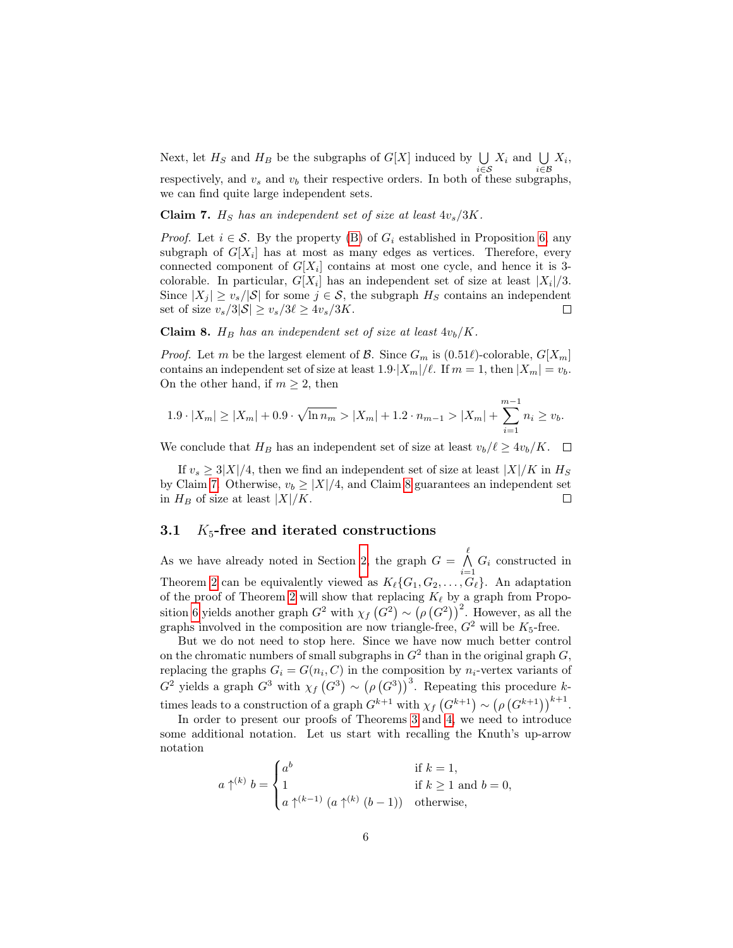Next, let  $H_S$  and  $H_B$  be the subgraphs of  $G[X]$  induced by  $\bigcup_{i \in S} X_i$  and  $\bigcup_{i \in \mathcal{B}} X_i$ , respectively, and  $v_s$  and  $v_b$  their respective orders. In both of these subgraphs, we can find quite large independent sets.

<span id="page-5-0"></span>Claim 7.  $H<sub>S</sub>$  has an independent set of size at least  $4v<sub>s</sub>/3K$ .

*Proof.* Let  $i \in \mathcal{S}$ . By the property [\(B\)](#page-4-2) of  $G_i$  established in Proposition [6,](#page-4-1) any subgraph of  $G[X_i]$  has at most as many edges as vertices. Therefore, every connected component of  $G[X_i]$  contains at most one cycle, and hence it is 3colorable. In particular,  $G[X_i]$  has an independent set of size at least  $|X_i|/3$ . Since  $|X_j| \ge v_s/|\mathcal{S}|$  for some  $j \in \mathcal{S}$ , the subgraph  $H_S$  contains an independent set of size  $v_s/3|\mathcal{S}| \ge v_s/3\ell \ge 4v_s/3K$ .  $\Box$ 

<span id="page-5-1"></span>Claim 8.  $H_B$  has an independent set of size at least  $4v_b/K$ .

*Proof.* Let m be the largest element of  $\mathcal{B}$ . Since  $G_m$  is  $(0.51\ell)$ -colorable,  $G[X_m]$ contains an independent set of size at least  $1.9\cdot |X_m|/\ell$ . If  $m = 1$ , then  $|X_m| = v_b$ . On the other hand, if  $m \geq 2$ , then

$$
1.9 \cdot |X_m| \ge |X_m| + 0.9 \cdot \sqrt{\ln n_m} > |X_m| + 1.2 \cdot n_{m-1} > |X_m| + \sum_{i=1}^{m-1} n_i \ge v_b.
$$

We conclude that  $H_B$  has an independent set of size at least  $v_b/\ell \geq 4v_b/K$ .  $\Box$ 

If  $v_s > 3|X|/4$ , then we find an independent set of size at least  $|X|/K$  in  $H_S$ by Claim [7.](#page-5-0) Otherwise,  $v_b \geq |X|/4$ , and Claim [8](#page-5-1) guarantees an independent set in  $H_B$  of size at least  $|X|/K$ .  $\Box$ 

#### 3.1  $K_5$ -free and iterated constructions

As we have already noted in Section [2,](#page-1-2) the graph  $G = \bigwedge^{\ell}$  $\bigwedge_{i=1} G_i$  constructed in Theorem [2](#page-1-1) can be equivalently viewed as  $K_{\ell}\{G_1, G_2, \ldots, G_{\ell}\}.$  An adaptation of the proof of Theorem [2](#page-1-1) will show that replacing  $K_{\ell}$  by a graph from Propo-sition [6](#page-4-1) yields another graph  $G^2$  with  $\chi_f$   $(G^2) \sim (\rho(G^2))^2$ . However, as all the graphs involved in the composition are now triangle-free,  $G^2$  will be  $K_5$ -free.

But we do not need to stop here. Since we have now much better control on the chromatic numbers of small subgraphs in  $G^2$  than in the original graph  $G$ , replacing the graphs  $G_i = G(n_i, C)$  in the composition by  $n_i$ -vertex variants of  $G^2$  yields a graph  $G^3$  with  $\chi_f(G^3) \sim (\rho(G^3))^3$ . Repeating this procedure ktimes leads to a construction of a graph  $G^{k+1}$  with  $\chi_f(G^{k+1}) \sim (\rho(G^{k+1}))^{k+1}$ .

In order to present our proofs of Theorems [3](#page-1-3) and [4,](#page-1-4) we need to introduce some additional notation. Let us start with recalling the Knuth's up-arrow notation

$$
a \uparrow^{(k)} b = \begin{cases} a^b & \text{if } k = 1, \\ 1 & \text{if } k \ge 1 \text{ and } b = 0, \\ a \uparrow^{(k-1)} (a \uparrow^{(k)} (b-1)) & \text{otherwise,} \end{cases}
$$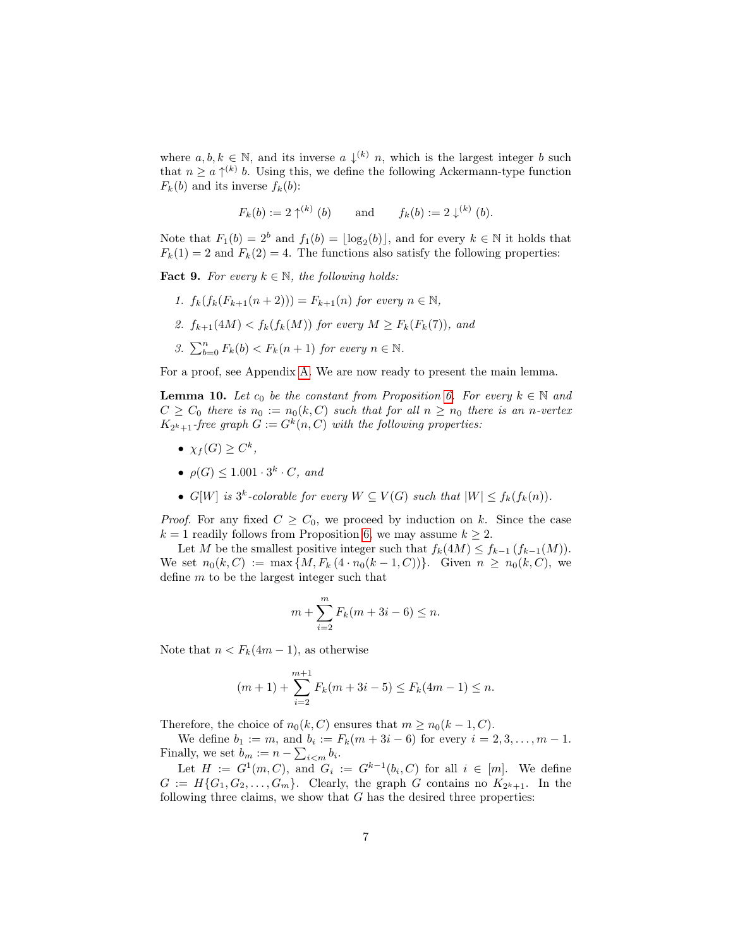where  $a, b, k \in \mathbb{N}$ , and its inverse  $a \downarrow^{(k)} n$ , which is the largest integer b such that  $n \geq a \uparrow^{(k)} b$ . Using this, we define the following Ackermann-type function  $F_k(b)$  and its inverse  $f_k(b)$ :

 $F_k(b) := 2 \uparrow^{(k)} (b)$  and  $f_k(b) := 2 \downarrow^{(k)} (b)$ .

Note that  $F_1(b) = 2^b$  and  $f_1(b) = \lfloor \log_2(b) \rfloor$ , and for every  $k \in \mathbb{N}$  it holds that  $F_k(1) = 2$  and  $F_k(2) = 4$ . The functions also satisfy the following properties:

<span id="page-6-1"></span>**Fact 9.** For every  $k \in \mathbb{N}$ , the following holds:

- 1.  $f_k(f_k(F_{k+1}(n+2))) = F_{k+1}(n)$  for every  $n \in \mathbb{N}$ ,
- 2.  $f_{k+1}(4M) < f_k(f_k(M))$  for every  $M \ge F_k(F_k(7))$ , and
- 3.  $\sum_{b=0}^{n} F_k(b) < F_k(n+1)$  for every  $n \in \mathbb{N}$ .

For a proof, see Appendix [A.](#page-10-2) We are now ready to present the main lemma.

<span id="page-6-0"></span>**Lemma 10.** Let  $c_0$  be the constant from Proposition [6.](#page-4-1) For every  $k \in \mathbb{N}$  and  $C \geq C_0$  there is  $n_0 := n_0(k, C)$  such that for all  $n \geq n_0$  there is an n-vertex  $K_{2^k+1}$ -free graph  $G := G^k(n, C)$  with the following properties:

- $\chi_f(G) \geq C^k$ ,
- $\rho(G) \leq 1.001 \cdot 3^k \cdot C$ , and
- $G[W]$  is  $3^k$ -colorable for every  $W \subseteq V(G)$  such that  $|W| \leq f_k(f_k(n))$ .

*Proof.* For any fixed  $C \geq C_0$ , we proceed by induction on k. Since the case  $k = 1$  readily follows from Proposition [6,](#page-4-1) we may assume  $k \geq 2$ .

Let M be the smallest positive integer such that  $f_k(4M) \le f_{k-1}(f_{k-1}(M)).$ We set  $n_0(k, C) := \max\{M, F_k(4 \cdot n_0(k-1, C))\}.$  Given  $n \geq n_0(k, C)$ , we define  $m$  to be the largest integer such that

$$
m + \sum_{i=2}^{m} F_k(m + 3i - 6) \le n.
$$

Note that  $n < F_k(4m-1)$ , as otherwise

$$
(m+1) + \sum_{i=2}^{m+1} F_k(m+3i-5) \le F_k(4m-1) \le n.
$$

Therefore, the choice of  $n_0(k, C)$  ensures that  $m \ge n_0(k-1, C)$ .

We define  $b_1 := m$ , and  $b_i := F_k(m + 3i - 6)$  for every  $i = 2, 3, ..., m - 1$ . Finally, we set  $b_m := n - \sum_{i \le m} b_i$ .

Let  $H := G^1(m, C)$ , and  $G_i := G^{k-1}(b_i, C)$  for all  $i \in [m]$ . We define  $G := H\{G_1, G_2, \ldots, G_m\}.$  Clearly, the graph G contains no  $K_{2^k+1}$ . In the following three claims, we show that  $G$  has the desired three properties: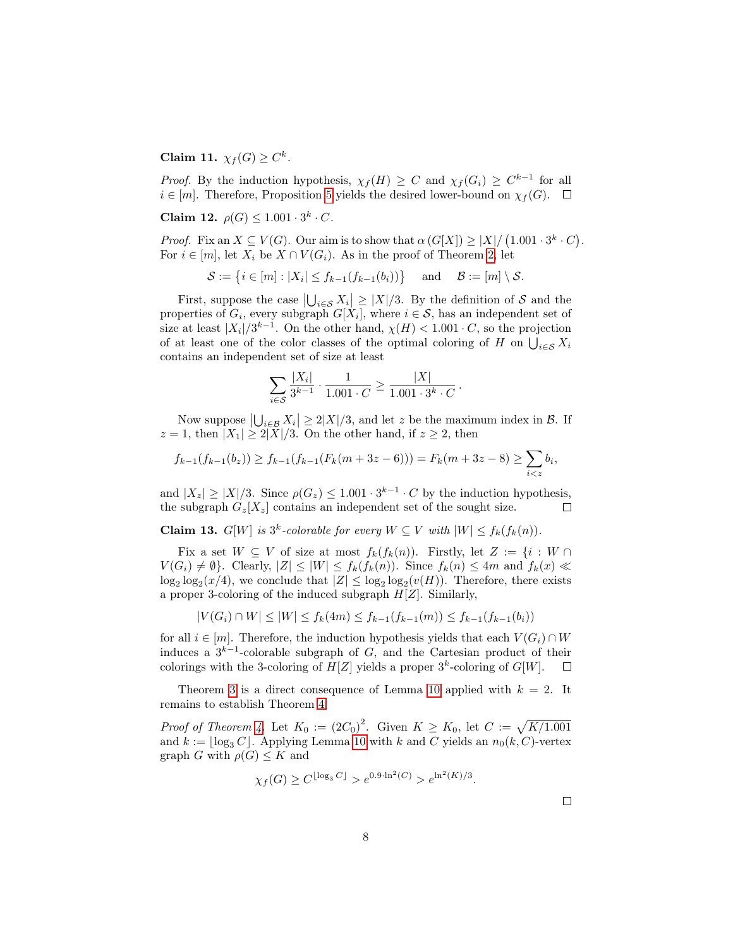Claim 11.  $\chi_f(G) \geq C^k$ .

*Proof.* By the induction hypothesis,  $\chi_f(H) \geq C$  and  $\chi_f(G_i) \geq C^{k-1}$  for all  $i \in [m]$ . Therefore, Proposition [5](#page-3-0) yields the desired lower-bound on  $\chi_f(G)$ .  $\Box$ 

Claim 12.  $\rho(G) \leq 1.001 \cdot 3^k \cdot C$ .

*Proof.* Fix an  $X \subseteq V(G)$ . Our aim is to show that  $\alpha(G[X]) \geq |X|/(1.001 \cdot 3^k \cdot C)$ . For  $i \in [m]$ , let  $X_i$  be  $X \cap V(G_i)$ . As in the proof of Theorem [2,](#page-1-1) let

$$
\mathcal{S} := \{ i \in [m] : |X_i| \leq f_{k-1}(f_{k-1}(b_i)) \} \quad \text{and} \quad \mathcal{B} := [m] \setminus \mathcal{S}.
$$

First, suppose the case  $|\bigcup_{i \in S} X_i| \geq |X|/3$ . By the definition of S and the properties of  $G_i$ , every subgraph  $G[X_i]$ , where  $i \in \mathcal{S}$ , has an independent set of size at least  $|X_i|/3^{k-1}$ . On the other hand,  $\chi(H) < 1.001 \cdot C$ , so the projection of at least one of the color classes of the optimal coloring of H on  $\bigcup_{i \in \mathcal{S}} X_i$ contains an independent set of size at least

$$
\sum_{i \in \mathcal{S}} \frac{|X_i|}{3^{k-1}} \cdot \frac{1}{1.001 \cdot C} \ge \frac{|X|}{1.001 \cdot 3^k \cdot C}.
$$

Now suppose  $\left|\bigcup_{i\in\mathcal{B}}X_i\right|\geq 2|X|/3$ , and let z be the maximum index in  $\mathcal{B}$ . If  $z = 1$ , then  $|X_1| \geq 2|X|/3$ . On the other hand, if  $z \geq 2$ , then

$$
f_{k-1}(f_{k-1}(b_z)) \ge f_{k-1}(f_{k-1}(F_k(m+3z-6))) = F_k(m+3z-8) \ge \sum_{i < z} b_i,
$$

and  $|X_z| \ge |X|/3$ . Since  $\rho(G_z) \le 1.001 \cdot 3^{k-1} \cdot C$  by the induction hypothesis, the subgraph  $G_z[X_z]$  contains an independent set of the sought size.  $\Box$ 

**Claim 13.**  $G[W]$  is  $3^k$ -colorable for every  $W \subseteq V$  with  $|W| \leq f_k(f_k(n))$ .

Fix a set  $W \subseteq V$  of size at most  $f_k(f_k(n))$ . Firstly, let  $Z := \{i : W \cap V\}$  $V(G_i) \neq \emptyset$ . Clearly,  $|Z| \leq |W| \leq f_k(f_k(n))$ . Since  $f_k(n) \leq 4m$  and  $f_k(x) \ll$  $\log_2 \log_2(x/4)$ , we conclude that  $|Z| \le \log_2 \log_2(v(H))$ . Therefore, there exists a proper 3-coloring of the induced subgraph  $H[Z]$ . Similarly,

$$
|V(G_i) \cap W| \le |W| \le f_k(4m) \le f_{k-1}(f_{k-1}(m)) \le f_{k-1}(f_{k-1}(b_i))
$$

for all  $i \in [m]$ . Therefore, the induction hypothesis yields that each  $V(G_i) \cap W$ induces a  $3^{k-1}$ -colorable subgraph of G, and the Cartesian product of their colorings with the 3-coloring of  $H[Z]$  yields a proper  $3^k$ -coloring of  $G[W]$ .  $\Box$ 

Theorem [3](#page-1-3) is a direct consequence of Lemma [10](#page-6-0) applied with  $k = 2$ . It remains to establish Theorem [4:](#page-1-4)

*Proof of Theorem [4.](#page-1-4)* Let  $K_0 := (2C_0)^2$ . Given  $K \geq K_0$ , let  $C := \sqrt{K/1.001}$ and  $k := \log_3 C$ . Applying Lemma [10](#page-6-0) with k and C yields an  $n_0(k, C)$ -vertex graph G with  $\rho(G) \leq K$  and

$$
\chi_f(G) \ge C^{\lfloor \log_3 C \rfloor} > e^{0.9 \cdot \ln^2(C)} > e^{\ln^2(K)/3}.
$$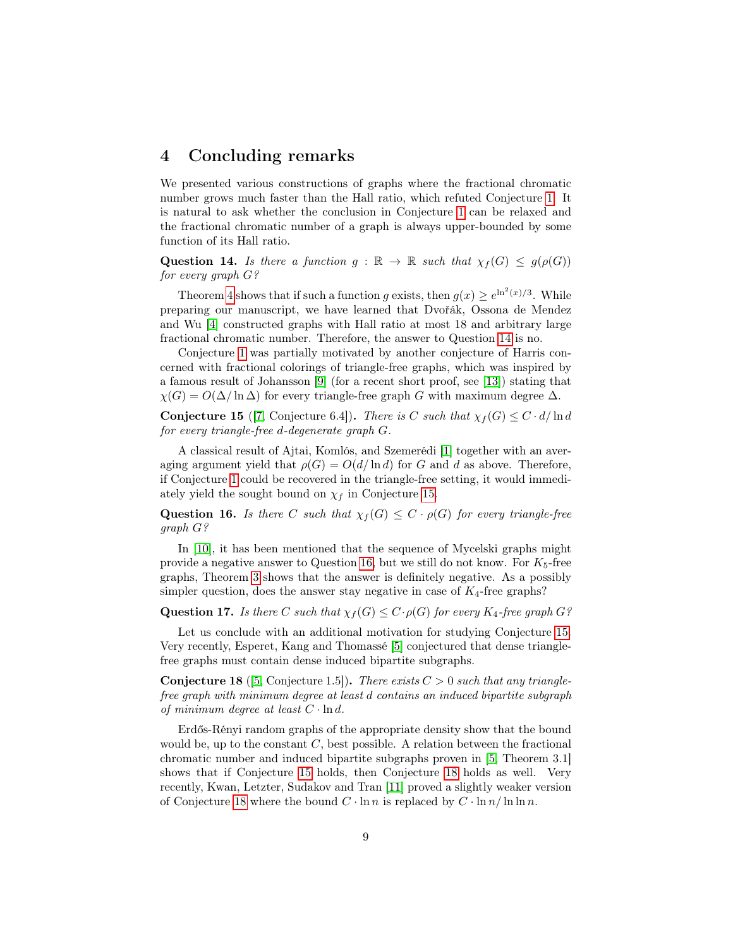#### <span id="page-8-0"></span>4 Concluding remarks

We presented various constructions of graphs where the fractional chromatic number grows much faster than the Hall ratio, which refuted Conjecture [1.](#page-1-0) It is natural to ask whether the conclusion in Conjecture [1](#page-1-0) can be relaxed and the fractional chromatic number of a graph is always upper-bounded by some function of its Hall ratio.

<span id="page-8-1"></span>**Question 14.** Is there a function  $g : \mathbb{R} \to \mathbb{R}$  such that  $\chi_f(G) \leq g(\rho(G))$ for every graph G?

Theorem [4](#page-1-4) shows that if such a function g exists, then  $g(x) \ge e^{\ln^2(x)/3}$ . While preparing our manuscript, we have learned that Dvořák, Ossona de Mendez and Wu [\[4\]](#page-9-6) constructed graphs with Hall ratio at most 18 and arbitrary large fractional chromatic number. Therefore, the answer to Question [14](#page-8-1) is no.

Conjecture [1](#page-1-0) was partially motivated by another conjecture of Harris concerned with fractional colorings of triangle-free graphs, which was inspired by a famous result of Johansson [\[9\]](#page-9-7) (for a recent short proof, see [\[13\]](#page-9-8)) stating that  $\chi(G) = O(\Delta/\ln \Delta)$  for every triangle-free graph G with maximum degree  $\Delta$ .

<span id="page-8-2"></span>**Conjecture 15** ([\[7,](#page-9-1) Conjecture 6.4]). There is C such that  $\chi_f(G) \leq C \cdot d/\ln d$ for every triangle-free d-degenerate graph G.

A classical result of Ajtai, Komlós, and Szemerédi [\[1\]](#page-9-9) together with an averaging argument yield that  $\rho(G) = O(d/\ln d)$  for G and d as above. Therefore, if Conjecture [1](#page-1-0) could be recovered in the triangle-free setting, it would immediately yield the sought bound on  $\chi_f$  in Conjecture [15.](#page-8-2)

<span id="page-8-3"></span>**Question 16.** Is there C such that  $\chi_f(G) \leq C \cdot \rho(G)$  for every triangle-free graph G?

In [\[10\]](#page-9-0), it has been mentioned that the sequence of Mycelski graphs might provide a negative answer to Question [16,](#page-8-3) but we still do not know. For  $K_5$ -free graphs, Theorem [3](#page-1-3) shows that the answer is definitely negative. As a possibly simpler question, does the answer stay negative in case of  $K_4$ -free graphs?

**Question 17.** Is there C such that  $\chi_f(G) \leq C \cdot \rho(G)$  for every  $K_4$ -free graph G?

Let us conclude with an additional motivation for studying Conjecture [15.](#page-8-2) Very recently, Esperet, Kang and Thomassé [\[5\]](#page-9-10) conjectured that dense trianglefree graphs must contain dense induced bipartite subgraphs.

<span id="page-8-4"></span>**Conjecture 18** ([\[5,](#page-9-10) Conjecture 1.5]). There exists  $C > 0$  such that any trianglefree graph with minimum degree at least d contains an induced bipartite subgraph of minimum degree at least  $C \cdot \ln d$ .

Erdős-Rényi random graphs of the appropriate density show that the bound would be, up to the constant  $C$ , best possible. A relation between the fractional chromatic number and induced bipartite subgraphs proven in [\[5,](#page-9-10) Theorem 3.1] shows that if Conjecture [15](#page-8-2) holds, then Conjecture [18](#page-8-4) holds as well. Very recently, Kwan, Letzter, Sudakov and Tran [\[11\]](#page-9-11) proved a slightly weaker version of Conjecture [18](#page-8-4) where the bound  $C \cdot \ln n$  is replaced by  $C \cdot \ln n / \ln \ln n$ .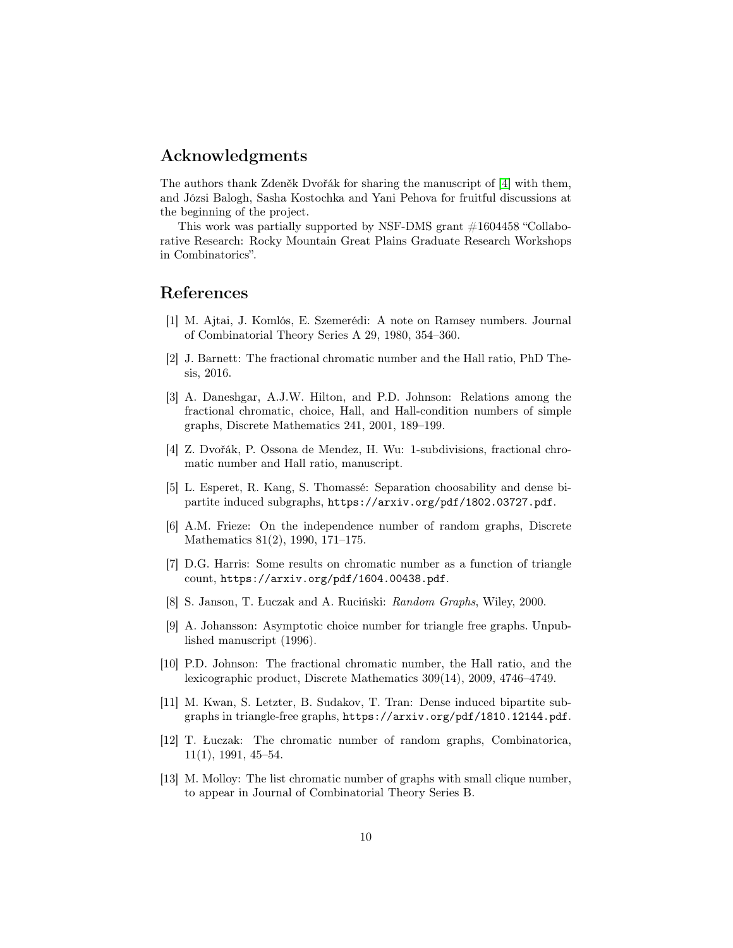#### Acknowledgments

The authors thank Zdeněk Dvořák for sharing the manuscript of [\[4\]](#page-9-6) with them, and Józsi Balogh, Sasha Kostochka and Yani Pehova for fruitful discussions at the beginning of the project.

This work was partially supported by NSF-DMS grant #1604458 "Collaborative Research: Rocky Mountain Great Plains Graduate Research Workshops in Combinatorics".

## References

- <span id="page-9-9"></span>[1] M. Ajtai, J. Komlós, E. Szemerédi: A note on Ramsey numbers. Journal of Combinatorial Theory Series A 29, 1980, 354–360.
- <span id="page-9-2"></span>[2] J. Barnett: The fractional chromatic number and the Hall ratio, PhD Thesis, 2016.
- <span id="page-9-3"></span>[3] A. Daneshgar, A.J.W. Hilton, and P.D. Johnson: Relations among the fractional chromatic, choice, Hall, and Hall-condition numbers of simple graphs, Discrete Mathematics 241, 2001, 189–199.
- <span id="page-9-6"></span>[4] Z. Dvořák, P. Ossona de Mendez, H. Wu: 1-subdivisions, fractional chromatic number and Hall ratio, manuscript.
- <span id="page-9-10"></span>[5] L. Esperet, R. Kang, S. Thomassé: Separation choosability and dense bipartite induced subgraphs, https://arxiv.org/pdf/1802.03727.pdf.
- <span id="page-9-4"></span>[6] A.M. Frieze: On the independence number of random graphs, Discrete Mathematics 81(2), 1990, 171–175.
- <span id="page-9-1"></span>[7] D.G. Harris: Some results on chromatic number as a function of triangle count, https://arxiv.org/pdf/1604.00438.pdf.
- [8] S. Janson, T. Łuczak and A. Ruciński: Random Graphs, Wiley, 2000.
- <span id="page-9-7"></span>[9] A. Johansson: Asymptotic choice number for triangle free graphs. Unpublished manuscript (1996).
- <span id="page-9-0"></span>[10] P.D. Johnson: The fractional chromatic number, the Hall ratio, and the lexicographic product, Discrete Mathematics 309(14), 2009, 4746–4749.
- <span id="page-9-11"></span>[11] M. Kwan, S. Letzter, B. Sudakov, T. Tran: Dense induced bipartite subgraphs in triangle-free graphs, https://arxiv.org/pdf/1810.12144.pdf.
- <span id="page-9-5"></span>[12] T. Łuczak: The chromatic number of random graphs, Combinatorica, 11(1), 1991, 45–54.
- <span id="page-9-8"></span>[13] M. Molloy: The list chromatic number of graphs with small clique number, to appear in Journal of Combinatorial Theory Series B.